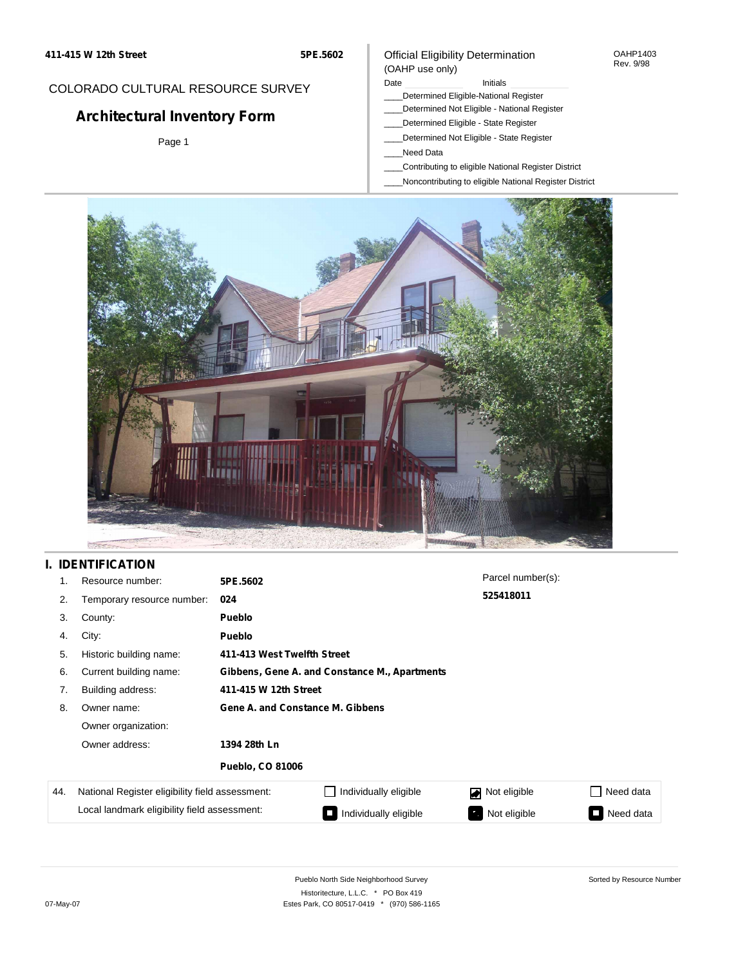**5PE.5602**

# COLORADO CULTURAL RESOURCE SURVEY

# **Architectural Inventory Form**

Page 1

## Official Eligibility Determination (OAHP use only)

Date **Initials** Initials

- \_\_\_\_Determined Eligible-National Register
- \_\_\_\_Determined Not Eligible National Register
- \_\_\_\_Determined Eligible State Register
- \_\_\_\_Determined Not Eligible State Register
- \_\_\_\_Need Data
- \_\_\_\_Contributing to eligible National Register District
- \_\_\_\_Noncontributing to eligible National Register District



# **I. IDENTIFICATION**

| 1.  | Resource number:                                                                                | 5PE.5602                         |                                               | Parcel number(s):         |                     |  |  |
|-----|-------------------------------------------------------------------------------------------------|----------------------------------|-----------------------------------------------|---------------------------|---------------------|--|--|
| 2.  | Temporary resource number:                                                                      | 024                              |                                               | 525418011                 |                     |  |  |
| 3.  | County:                                                                                         | <b>Pueblo</b>                    |                                               |                           |                     |  |  |
| 4.  | City:                                                                                           | Pueblo                           |                                               |                           |                     |  |  |
| 5.  | Historic building name:                                                                         |                                  | 411-413 West Twelfth Street                   |                           |                     |  |  |
| 6.  | Current building name:                                                                          |                                  | Gibbens, Gene A. and Constance M., Apartments |                           |                     |  |  |
| 7.  | Building address:                                                                               | 411-415 W 12th Street            |                                               |                           |                     |  |  |
| 8.  | Owner name:                                                                                     | Gene A. and Constance M. Gibbens |                                               |                           |                     |  |  |
|     | Owner organization:                                                                             |                                  |                                               |                           |                     |  |  |
|     | Owner address:                                                                                  | 1394 28th Ln                     |                                               |                           |                     |  |  |
|     |                                                                                                 | <b>Pueblo, CO 81006</b>          |                                               |                           |                     |  |  |
| 44. | National Register eligibility field assessment:<br>Local landmark eligibility field assessment: |                                  | Individually eligible                         | Not eligible<br>◪         | Need data           |  |  |
|     |                                                                                                 |                                  | Individually eligible                         | Not eligible<br>$\bullet$ | Need data<br>$\sim$ |  |  |

OAHP1403 Rev. 9/98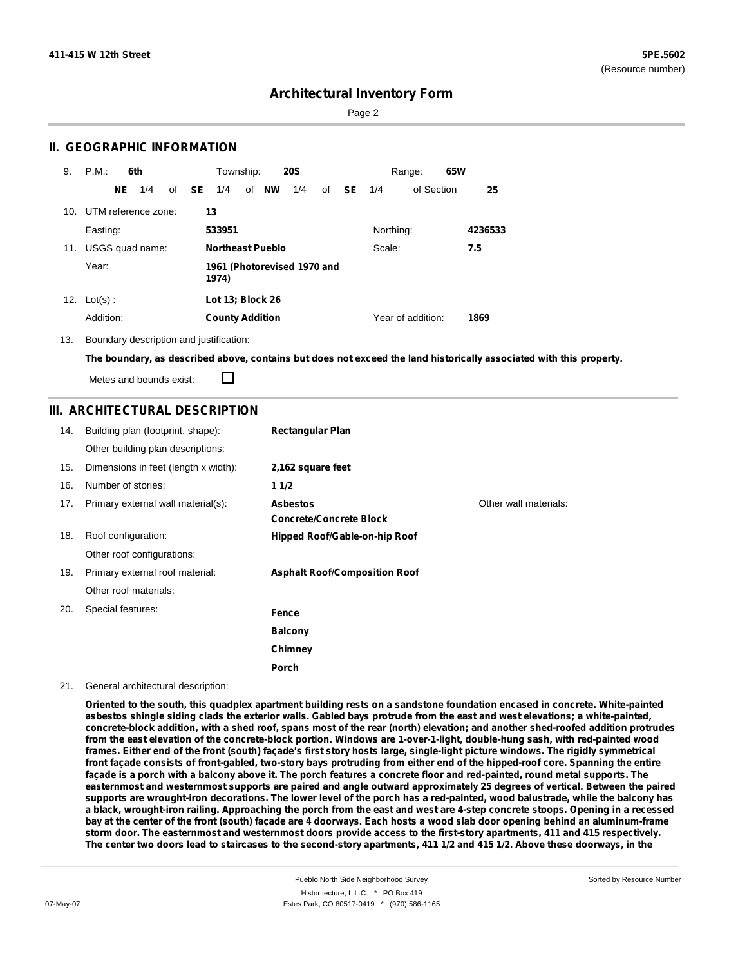Page 2

## **II. GEOGRAPHIC INFORMATION**

| 9.  | P.M.                |    | 6th             |              | Township:              |                         | <b>20S</b>                  |    |           |           | Range:            | 65W |         |
|-----|---------------------|----|-----------------|--------------|------------------------|-------------------------|-----------------------------|----|-----------|-----------|-------------------|-----|---------|
|     |                     | NE | 1/4             | of <b>SE</b> | 1/4                    | of NW                   | 1/4                         | of | <b>SE</b> | 1/4       | of Section        |     | 25      |
| 10. | UTM reference zone: |    |                 |              | 13                     |                         |                             |    |           |           |                   |     |         |
|     | Easting:            |    |                 |              | 533951                 |                         |                             |    |           | Northing: |                   |     | 4236533 |
| 11. |                     |    | USGS quad name: |              |                        | <b>Northeast Pueblo</b> |                             |    |           | Scale:    |                   |     | 7.5     |
|     | Year:               |    |                 |              | 1974)                  |                         | 1961 (Photorevised 1970 and |    |           |           |                   |     |         |
| 12. | $Lot(s)$ :          |    |                 |              | Lot 13; Block 26       |                         |                             |    |           |           |                   |     |         |
|     | Addition:           |    |                 |              | <b>County Addition</b> |                         |                             |    |           |           | Year of addition: |     | 1869    |

13. Boundary description and justification:

The boundary, as described above, contains but does not exceed the land historically associated with this property.

Metes and bounds exist:

П

## **III. ARCHITECTURAL DESCRIPTION**

| 14. | Building plan (footprint, shape):    | <b>Rectangular Plan</b>                           |                       |
|-----|--------------------------------------|---------------------------------------------------|-----------------------|
|     | Other building plan descriptions:    |                                                   |                       |
| 15. | Dimensions in feet (length x width): | 2,162 square feet                                 |                       |
| 16. | Number of stories:                   | 11/2                                              |                       |
| 17. | Primary external wall material(s):   | <b>Asbestos</b><br><b>Concrete/Concrete Block</b> | Other wall materials: |
| 18. | Roof configuration:                  | Hipped Roof/Gable-on-hip Roof                     |                       |
|     | Other roof configurations:           |                                                   |                       |
| 19. | Primary external roof material:      | <b>Asphalt Roof/Composition Roof</b>              |                       |
|     | Other roof materials:                |                                                   |                       |
| 20. | Special features:                    | Fence                                             |                       |
|     |                                      | <b>Balcony</b>                                    |                       |
|     |                                      | Chimney                                           |                       |
|     |                                      | Porch                                             |                       |

### 21. General architectural description:

Oriented to the south, this quadplex apartment building rests on a sandstone foundation encased in concrete. White-painted asbestos shingle siding clads the exterior walls. Gabled bays protrude from the east and west elevations; a white-painted, concrete-block addition, with a shed roof, spans most of the rear (north) elevation; and another shed-roofed addition protrudes from the east elevation of the concrete-block portion. Windows are 1-over-1-light, double-hung sash, with red-painted wood frames. Either end of the front (south) façade's first story hosts large, single-light picture windows. The rigidly symmetrical front façade consists of front-gabled, two-story bays protruding from either end of the hipped-roof core. Spanning the entire façade is a porch with a balcony above it. The porch features a concrete floor and red-painted, round metal supports. The easternmost and westernmost supports are paired and angle outward approximately 25 degrees of vertical. Between the paired supports are wrought-iron decorations. The lower level of the porch has a red-painted, wood balustrade, while the balcony has a black, wrought-iron railing. Approaching the porch from the east and west are 4-step concrete stoops. Opening in a recessed bay at the center of the front (south) façade are 4 doorways. Each hosts a wood slab door opening behind an aluminum-frame storm door. The easternmost and westernmost doors provide access to the first-story apartments, 411 and 415 respectively. The center two doors lead to staircases to the second-story apartments, 411 1/2 and 415 1/2. Above these doorways, in the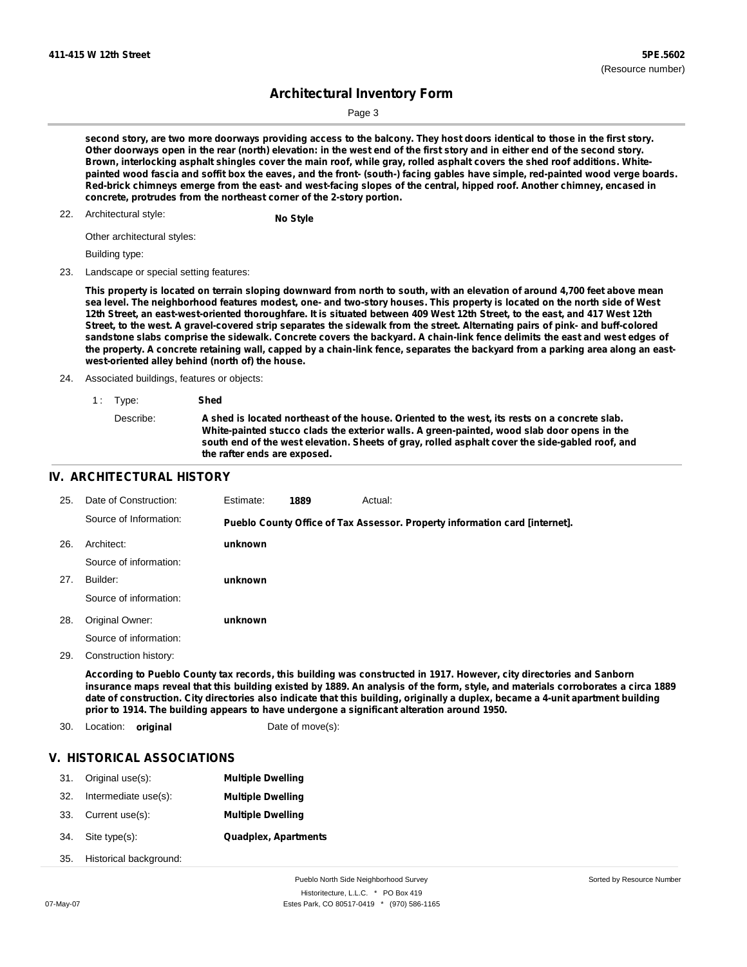Sorted by Resource Number

## **Architectural Inventory Form**

Page 3

second story, are two more doorways providing access to the balcony. They host doors identical to those in the first story. Other doorways open in the rear (north) elevation: in the west end of the first story and in either end of the second story. Brown, interlocking asphalt shingles cover the main roof, while gray, rolled asphalt covers the shed roof additions. Whitepainted wood fascia and soffit box the eaves, and the front- (south-) facing gables have simple, red-painted wood verge boards. Red-brick chimneys emerge from the east- and west-facing slopes of the central, hipped roof. Another chimney, encased in **concrete, protrudes from the northeast corner of the 2-story portion.**

## Architectural style: 22. **No Style**

Other architectural styles:

Building type:

23. Landscape or special setting features:

This property is located on terrain sloping downward from north to south, with an elevation of around 4,700 feet above mean sea level. The neighborhood features modest, one- and two-story houses. This property is located on the north side of West 12th Street, an east-west-oriented thoroughfare. It is situated between 409 West 12th Street, to the east, and 417 West 12th Street, to the west. A gravel-covered strip separates the sidewalk from the street. Alternating pairs of pink- and buff-colored sandstone slabs comprise the sidewalk. Concrete covers the backyard. A chain-link fence delimits the east and west edges of the property. A concrete retaining wall, capped by a chain-link fence, separates the backyard from a parking area along an east**west-oriented alley behind (north of) the house.**

#### 24. Associated buildings, features or objects:

| 1: Type:  | Shed                                                                                                                                                                                                                                                                                                                            |
|-----------|---------------------------------------------------------------------------------------------------------------------------------------------------------------------------------------------------------------------------------------------------------------------------------------------------------------------------------|
| Describe: | A shed is located northeast of the house. Oriented to the west, its rests on a concrete slab.<br>White-painted stucco clads the exterior walls. A green-painted, wood slab door opens in the<br>south end of the west elevation. Sheets of gray, rolled asphalt cover the side-gabled roof, and<br>the rafter ends are exposed. |

## **IV. ARCHITECTURAL HISTORY**

| 25. | Date of Construction:  | Estimate: | 1889 | Actual:                                                                     |  |
|-----|------------------------|-----------|------|-----------------------------------------------------------------------------|--|
|     | Source of Information: |           |      | Pueblo County Office of Tax Assessor. Property information card [internet]. |  |
| 26. | Architect:             | unknown   |      |                                                                             |  |
|     | Source of information: |           |      |                                                                             |  |
| 27. | Builder:               | unknown   |      |                                                                             |  |
|     | Source of information: |           |      |                                                                             |  |
| 28. | Original Owner:        | unknown   |      |                                                                             |  |
|     | Source of information: |           |      |                                                                             |  |
| 29. | Construction history:  |           |      |                                                                             |  |

According to Pueblo County tax records, this building was constructed in 1917. However, city directories and Sanborn insurance maps reveal that this building existed by 1889. An analysis of the form, style, and materials corroborates a circa 1889 date of construction. City directories also indicate that this building, originally a duplex, became a 4-unit apartment building **prior to 1914. The building appears to have undergone a significant alteration around 1950.**

- 30. Location: **original** Date of move(s):
	-

### **V. HISTORICAL ASSOCIATIONS**

| 31. | Original use(s):       | <b>Multiple Dwelling</b>    |
|-----|------------------------|-----------------------------|
| 32. | Intermediate use(s):   | <b>Multiple Dwelling</b>    |
| 33. | Current use(s):        | <b>Multiple Dwelling</b>    |
| 34. | Site type(s):          | <b>Quadplex, Apartments</b> |
| 35. | Historical background: |                             |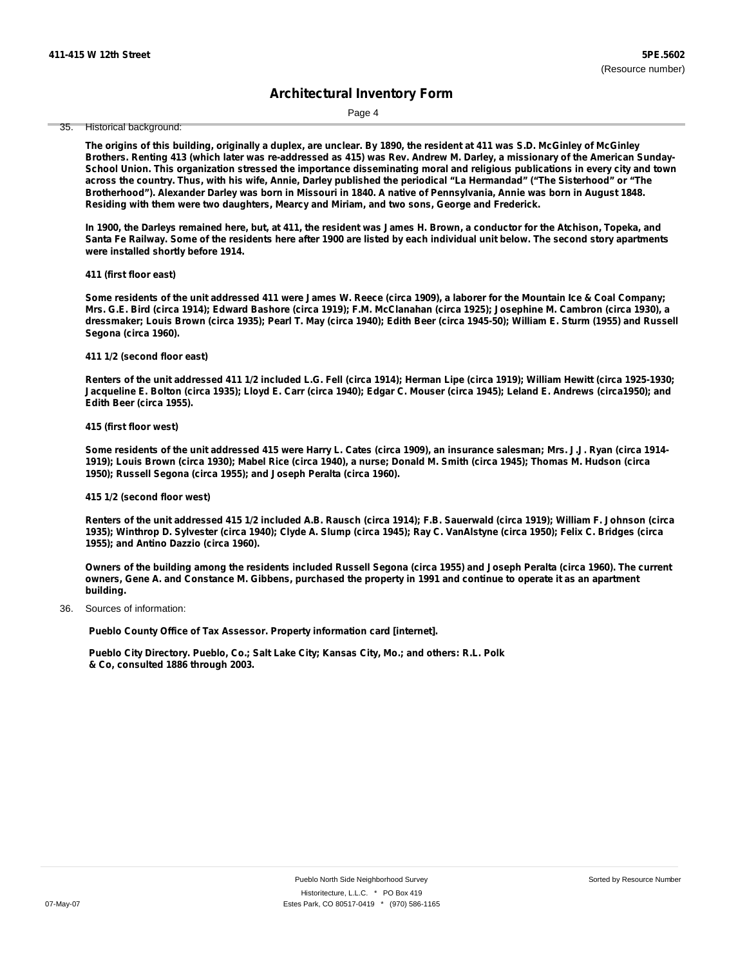Page 4

35. Historical background:

The origins of this building, originally a duplex, are unclear. By 1890, the resident at 411 was S.D. McGinley of McGinley Brothers. Renting 413 (which later was re-addressed as 415) was Rev. Andrew M. Darley, a missionary of the American Sunday-School Union. This organization stressed the importance disseminating moral and religious publications in every city and town across the country. Thus, with his wife, Annie, Darley published the periodical "La Hermandad" ("The Sisterhood" or "The Brotherhood"). Alexander Darley was born in Missouri in 1840. A native of Pennsylvania, Annie was born in August 1848. **Residing with them were two daughters, Mearcy and Miriam, and two sons, George and Frederick.**

In 1900, the Darleys remained here, but, at 411, the resident was James H. Brown, a conductor for the Atchison, Topeka, and Santa Fe Railway. Some of the residents here after 1900 are listed by each individual unit below. The second story apartments **were installed shortly before 1914.**

### **411 (first floor east)**

Some residents of the unit addressed 411 were James W. Reece (circa 1909), a laborer for the Mountain Ice & Coal Company; Mrs. G.E. Bird (circa 1914); Edward Bashore (circa 1919); F.M. McClanahan (circa 1925); Josephine M. Cambron (circa 1930), a dressmaker; Louis Brown (circa 1935); Pearl T. May (circa 1940); Edith Beer (circa 1945-50); William E. Sturm (1955) and Russell **Segona (circa 1960).**

#### **411 1/2 (second floor east)**

Renters of the unit addressed 411 1/2 included L.G. Fell (circa 1914); Herman Lipe (circa 1919); William Hewitt (circa 1925-1930; Jacqueline E. Bolton (circa 1935); Lloyd E. Carr (circa 1940); Edgar C. Mouser (circa 1945); Leland E. Andrews (circa1950); and **Edith Beer (circa 1955).**

#### **415 (first floor west)**

Some residents of the unit addressed 415 were Harry L. Cates (circa 1909), an insurance salesman; Mrs. J.J. Ryan (circa 1914-1919); Louis Brown (circa 1930); Mabel Rice (circa 1940), a nurse; Donald M. Smith (circa 1945); Thomas M. Hudson (circa **1950); Russell Segona (circa 1955); and Joseph Peralta (circa 1960).**

### **415 1/2 (second floor west)**

Renters of the unit addressed 415 1/2 included A.B. Rausch (circa 1914); F.B. Sauerwald (circa 1919); William F. Johnson (circa 1935); Winthrop D. Sylvester (circa 1940); Clyde A. Slump (circa 1945); Ray C. VanAlstyne (circa 1950); Felix C. Bridges (circa **1955); and Antino Dazzio (circa 1960).**

Owners of the building among the residents included Russell Segona (circa 1955) and Joseph Peralta (circa 1960). The current owners, Gene A. and Constance M. Gibbens, purchased the property in 1991 and continue to operate it as an apartment **building.**

Sources of information: 36.

**Pueblo County Office of Tax Assessor. Property information card [internet].**

**Pueblo City Directory. Pueblo, Co.; Salt Lake City; Kansas City, Mo.; and others: R.L. Polk & Co, consulted 1886 through 2003.**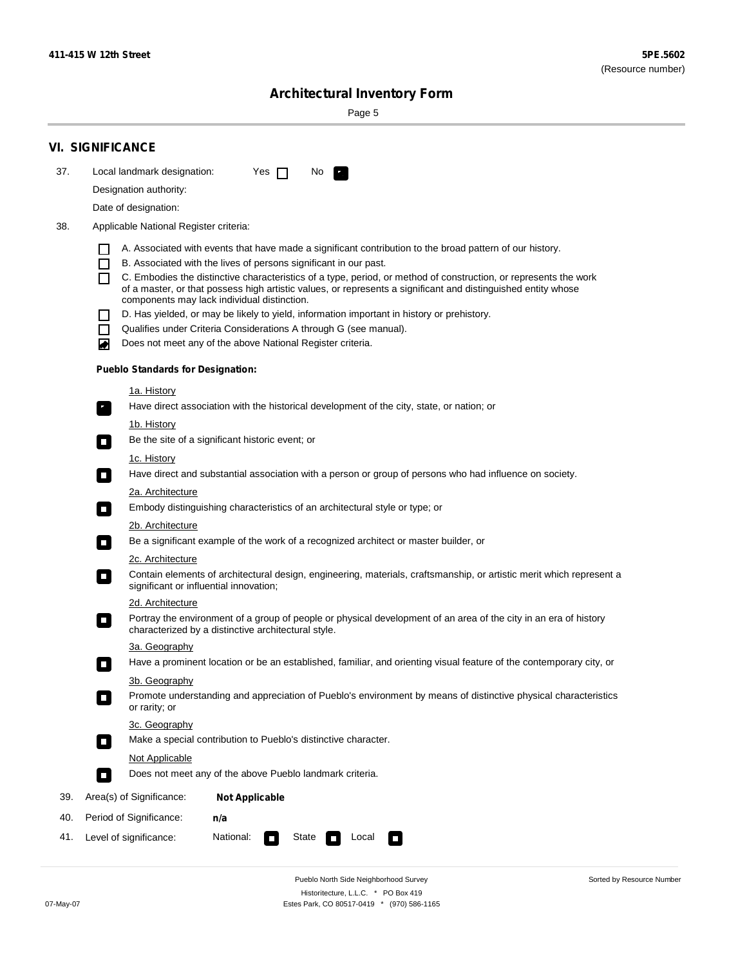Sorted by Resource Number

# **Architectural Inventory Form**

Page 5

|     | <b>VI. SIGNIFICANCE</b>                                                                                                                                                      |  |
|-----|------------------------------------------------------------------------------------------------------------------------------------------------------------------------------|--|
| 37. | Local landmark designation:<br>Yes $\Box$<br>No.<br>$\mathbf{F}_{\mathbf{a}}$                                                                                                |  |
|     | Designation authority:                                                                                                                                                       |  |
|     | Date of designation:                                                                                                                                                         |  |
| 38. | Applicable National Register criteria:                                                                                                                                       |  |
|     |                                                                                                                                                                              |  |
|     | A. Associated with events that have made a significant contribution to the broad pattern of our history.<br>B. Associated with the lives of persons significant in our past. |  |
|     | C. Embodies the distinctive characteristics of a type, period, or method of construction, or represents the work                                                             |  |
|     | of a master, or that possess high artistic values, or represents a significant and distinguished entity whose<br>components may lack individual distinction.                 |  |
|     | D. Has yielded, or may be likely to yield, information important in history or prehistory.                                                                                   |  |
|     | Qualifies under Criteria Considerations A through G (see manual).                                                                                                            |  |
|     | Does not meet any of the above National Register criteria.<br>◙                                                                                                              |  |
|     | <b>Pueblo Standards for Designation:</b>                                                                                                                                     |  |
|     | <u>1a. History</u>                                                                                                                                                           |  |
|     | Have direct association with the historical development of the city, state, or nation; or<br>$\mathcal{F}_{\perp}$                                                           |  |
|     | <u>1b. History</u>                                                                                                                                                           |  |
|     | Be the site of a significant historic event; or<br>$\mathcal{L}_{\mathcal{A}}$                                                                                               |  |
|     | 1c. History                                                                                                                                                                  |  |
|     | Have direct and substantial association with a person or group of persons who had influence on society.<br>$\sim$                                                            |  |
|     | 2a. Architecture                                                                                                                                                             |  |
|     | Embody distinguishing characteristics of an architectural style or type; or<br>$\blacksquare$                                                                                |  |
|     | 2b. Architecture                                                                                                                                                             |  |
|     | Be a significant example of the work of a recognized architect or master builder, or<br>$\mathcal{L}_{\mathcal{A}}$                                                          |  |
|     | <b>2c. Architecture</b>                                                                                                                                                      |  |
|     | Contain elements of architectural design, engineering, materials, craftsmanship, or artistic merit which represent a<br>О<br>significant or influential innovation;          |  |
|     | 2d. Architecture                                                                                                                                                             |  |
|     | Portray the environment of a group of people or physical development of an area of the city in an era of history<br>О<br>characterized by a distinctive architectural style. |  |
|     | 3a. Geography                                                                                                                                                                |  |
|     | Have a prominent location or be an established, familiar, and orienting visual feature of the contemporary city, or                                                          |  |
|     | 3b. Geography                                                                                                                                                                |  |
|     | Promote understanding and appreciation of Pueblo's environment by means of distinctive physical characteristics<br>or rarity; or                                             |  |
|     | 3c. Geography                                                                                                                                                                |  |
|     | Make a special contribution to Pueblo's distinctive character.<br>$\mathcal{L}_{\mathcal{A}}$                                                                                |  |
|     | Not Applicable                                                                                                                                                               |  |
|     | Does not meet any of the above Pueblo landmark criteria.<br>$\Box$                                                                                                           |  |
| 39. | Area(s) of Significance:<br><b>Not Applicable</b>                                                                                                                            |  |
| 40. | Period of Significance:<br>n/a                                                                                                                                               |  |
| 41. | National:<br>Level of significance:<br>State<br>Local<br>$\overline{\phantom{a}}$<br>П                                                                                       |  |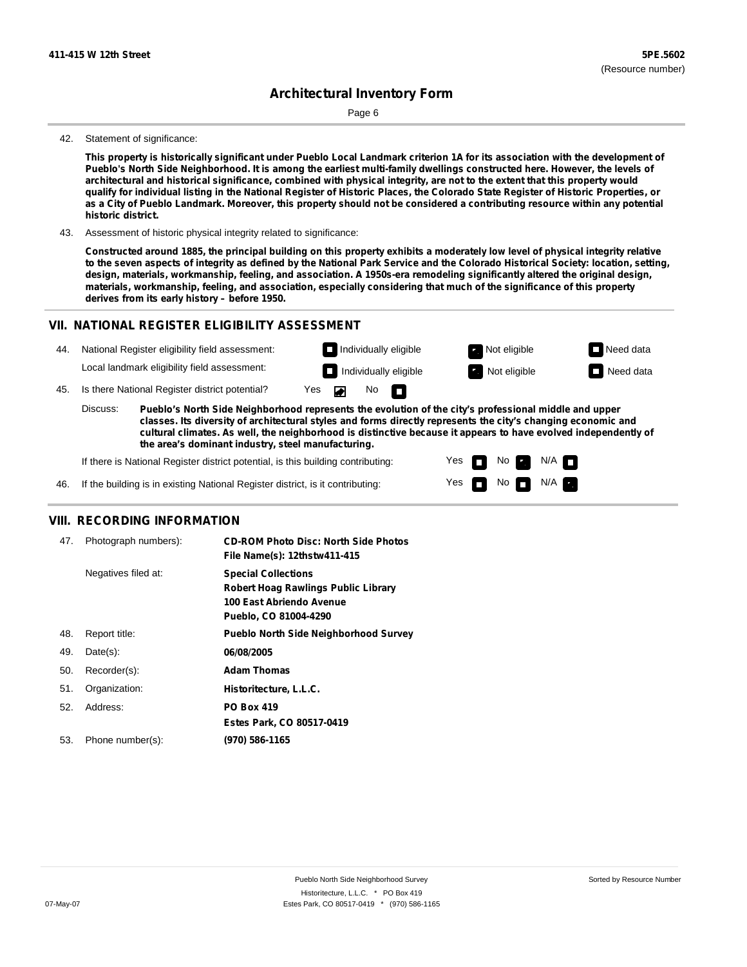Page 6

#### 42. Statement of significance:

This property is historically significant under Pueblo Local Landmark criterion 1A for its association with the development of Pueblo's North Side Neighborhood. It is among the earliest multi-family dwellings constructed here. However, the levels of architectural and historical significance, combined with physical integrity, are not to the extent that this property would qualify for individual listing in the National Register of Historic Places, the Colorado State Register of Historic Properties, or as a City of Pueblo Landmark. Moreover, this property should not be considered a contributing resource within any potential **historic district.**

43. Assessment of historic physical integrity related to significance:

Constructed around 1885, the principal building on this property exhibits a moderately low level of physical integrity relative to the seven aspects of integrity as defined by the National Park Service and the Colorado Historical Society: location, setting, **design, materials, workmanship, feeling, and association. A 1950s-era remodeling significantly altered the original design, materials, workmanship, feeling, and association, especially considering that much of the significance of this property derives from its early history – before 1950.**

### **VII. NATIONAL REGISTER ELIGIBILITY ASSESSMENT**



**classes. Its diversity of architectural styles and forms directly represents the city's changing economic and cultural climates. As well, the neighborhood is distinctive because it appears to have evolved independently of the area's dominant industry, steel manufacturing.**

> Yes Yes

 $\overline{\phantom{a}}$ m No **Ex** 

No  $\blacksquare$  N/A  $\blacksquare$ 

 $N/A$   $\blacksquare$ 

If there is National Register district potential, is this building contributing:

If the building is in existing National Register district, is it contributing: 46.

### **VIII. RECORDING INFORMATION**

| 47. | Photograph numbers): | <b>CD-ROM Photo Disc: North Side Photos</b>  |
|-----|----------------------|----------------------------------------------|
|     |                      | File Name(s): 12thstw411-415                 |
|     | Negatives filed at:  | <b>Special Collections</b>                   |
|     |                      | <b>Robert Hoag Rawlings Public Library</b>   |
|     |                      | 100 East Abriendo Avenue                     |
|     |                      | Pueblo, CO 81004-4290                        |
| 48. | Report title:        | <b>Pueblo North Side Neighborhood Survey</b> |
| 49. | $Date(s)$ :          | 06/08/2005                                   |
| 50. | Recorder(s):         | <b>Adam Thomas</b>                           |
| 51. | Organization:        | Historitecture, L.L.C.                       |
| 52. | Address:             | <b>PO Box 419</b>                            |
|     |                      | Estes Park, CO 80517-0419                    |
| 53. | Phone number(s):     | (970) 586-1165                               |
|     |                      |                                              |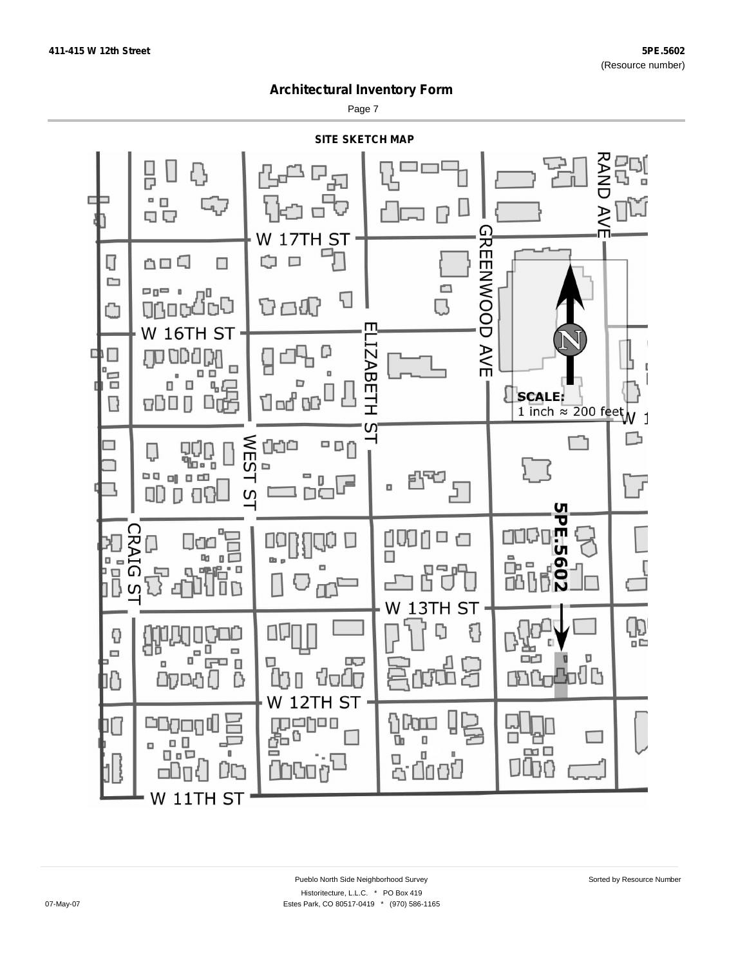Page 7